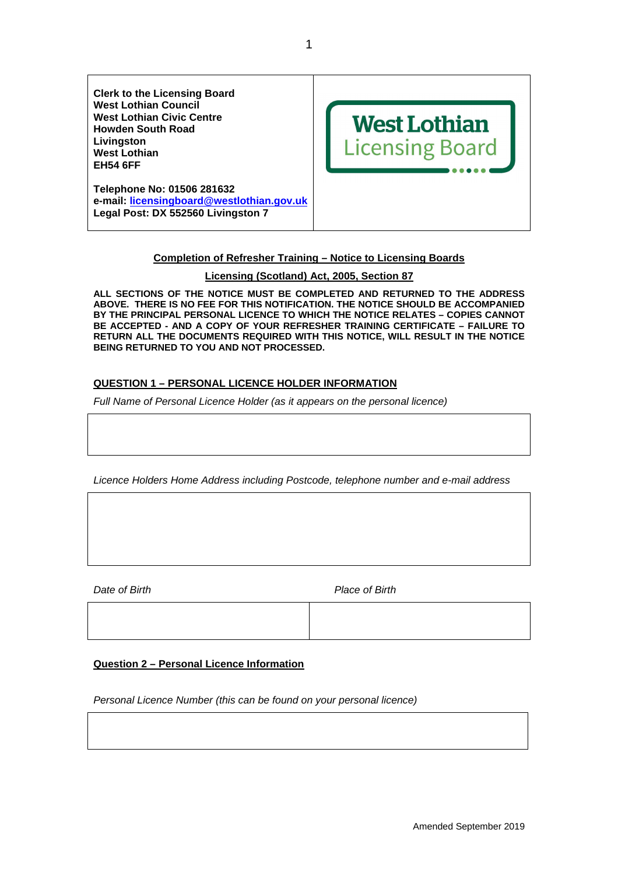

# **Completion of Refresher Training – Notice to Licensing Boards**

## **Licensing (Scotland) Act, 2005, Section 87**

**ALL SECTIONS OF THE NOTICE MUST BE COMPLETED AND RETURNED TO THE ADDRESS ABOVE. THERE IS NO FEE FOR THIS NOTIFICATION. THE NOTICE SHOULD BE ACCOMPANIED BY THE PRINCIPAL PERSONAL LICENCE TO WHICH THE NOTICE RELATES – COPIES CANNOT BE ACCEPTED - AND A COPY OF YOUR REFRESHER TRAINING CERTIFICATE – FAILURE TO RETURN ALL THE DOCUMENTS REQUIRED WITH THIS NOTICE, WILL RESULT IN THE NOTICE BEING RETURNED TO YOU AND NOT PROCESSED.** 

# **QUESTION 1 – PERSONAL LICENCE HOLDER INFORMATION**

Full Name of Personal Licence Holder (as it appears on the personal licence)

Licence Holders Home Address including Postcode, telephone number and e-mail address

Date of Birth **Place of Birth** 

## **Question 2 – Personal Licence Information**

Personal Licence Number (this can be found on your personal licence)